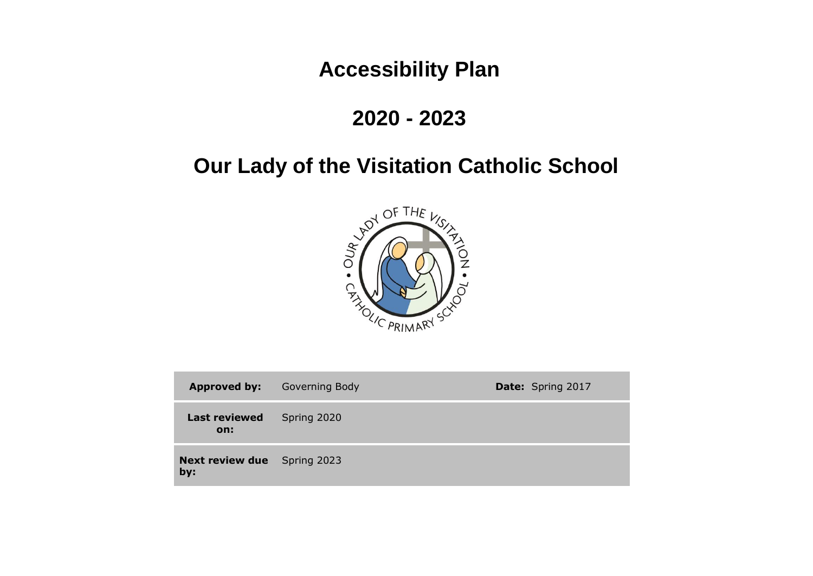# **Accessibility Plan**

## **2020 - 2023**

# **Our Lady of the Visitation Catholic School**



| <b>Approved by:</b>                       | <b>Governing Body</b> | <b>Date:</b> Spring 2017 |
|-------------------------------------------|-----------------------|--------------------------|
| <b>Last reviewed</b><br>on:               | Spring 2020           |                          |
| <b>Next review due</b> Spring 2023<br>by: |                       |                          |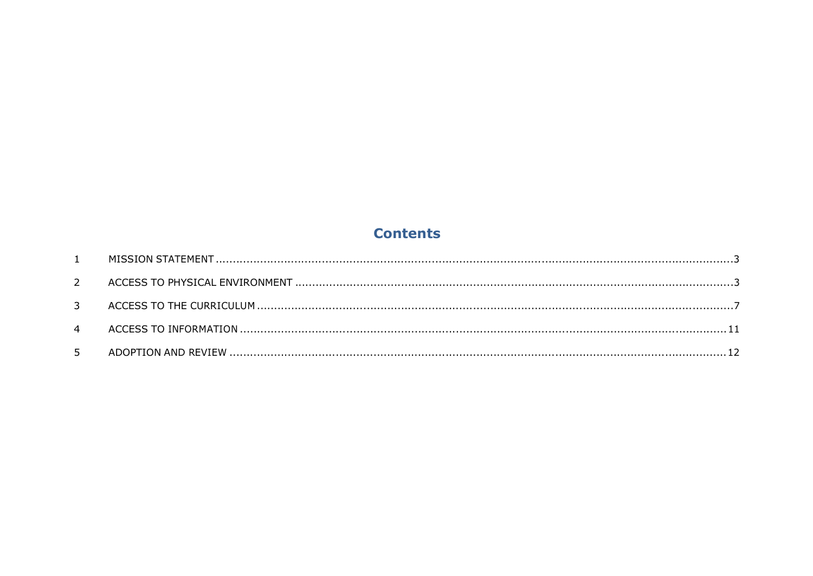### **Contents**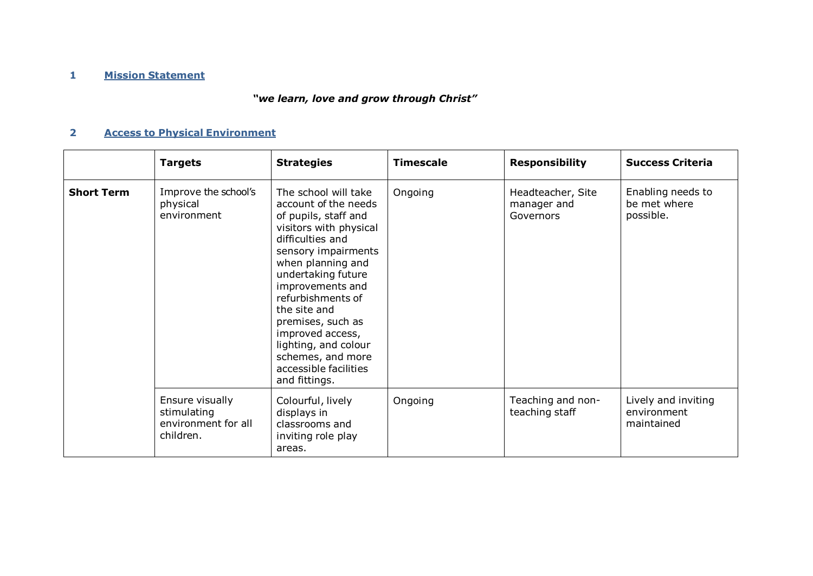#### **1 Mission Statement**

## *"we learn, love and grow through Christ"*

### **2 Access to Physical Environment**

|                   | <b>Targets</b>                                                     | <b>Strategies</b>                                                                                                                                                                                                                                                                                                                                                             | <b>Timescale</b> | <b>Responsibility</b>                         | <b>Success Criteria</b>                          |
|-------------------|--------------------------------------------------------------------|-------------------------------------------------------------------------------------------------------------------------------------------------------------------------------------------------------------------------------------------------------------------------------------------------------------------------------------------------------------------------------|------------------|-----------------------------------------------|--------------------------------------------------|
| <b>Short Term</b> | Improve the school's<br>physical<br>environment                    | The school will take<br>account of the needs<br>of pupils, staff and<br>visitors with physical<br>difficulties and<br>sensory impairments<br>when planning and<br>undertaking future<br>improvements and<br>refurbishments of<br>the site and<br>premises, such as<br>improved access,<br>lighting, and colour<br>schemes, and more<br>accessible facilities<br>and fittings. | Ongoing          | Headteacher, Site<br>manager and<br>Governors | Enabling needs to<br>be met where<br>possible.   |
|                   | Ensure visually<br>stimulating<br>environment for all<br>children. | Colourful, lively<br>displays in<br>classrooms and<br>inviting role play<br>areas.                                                                                                                                                                                                                                                                                            | Ongoing          | Teaching and non-<br>teaching staff           | Lively and inviting<br>environment<br>maintained |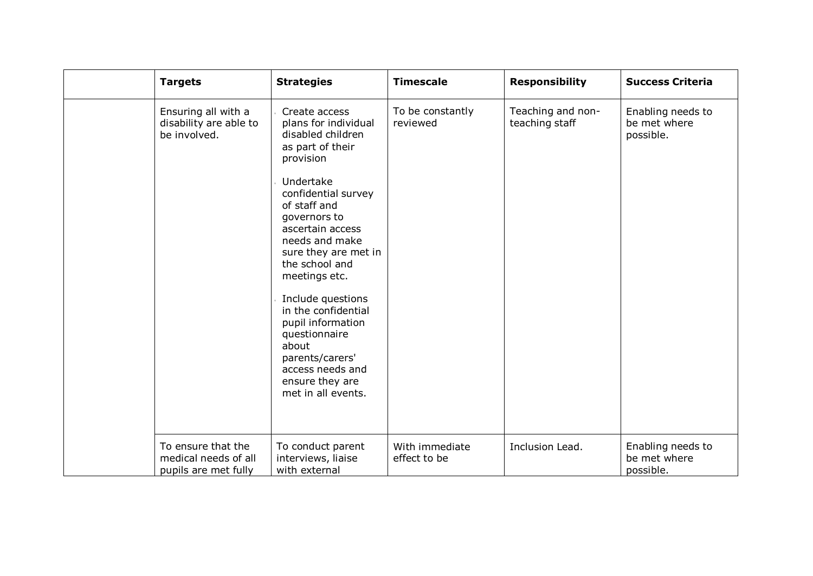| <b>Targets</b>                                                     | <b>Strategies</b>                                                                                                                                                                                                                                                                                                                                                                                                                           | <b>Timescale</b>               | <b>Responsibility</b>               | <b>Success Criteria</b>                        |
|--------------------------------------------------------------------|---------------------------------------------------------------------------------------------------------------------------------------------------------------------------------------------------------------------------------------------------------------------------------------------------------------------------------------------------------------------------------------------------------------------------------------------|--------------------------------|-------------------------------------|------------------------------------------------|
| Ensuring all with a<br>disability are able to<br>be involved.      | Create access<br>plans for individual<br>disabled children<br>as part of their<br>provision<br>Undertake<br>confidential survey<br>of staff and<br>governors to<br>ascertain access<br>needs and make<br>sure they are met in<br>the school and<br>meetings etc.<br>Include questions<br>in the confidential<br>pupil information<br>questionnaire<br>about<br>parents/carers'<br>access needs and<br>ensure they are<br>met in all events. | To be constantly<br>reviewed   | Teaching and non-<br>teaching staff | Enabling needs to<br>be met where<br>possible. |
| To ensure that the<br>medical needs of all<br>pupils are met fully | To conduct parent<br>interviews, liaise<br>with external                                                                                                                                                                                                                                                                                                                                                                                    | With immediate<br>effect to be | Inclusion Lead.                     | Enabling needs to<br>be met where<br>possible. |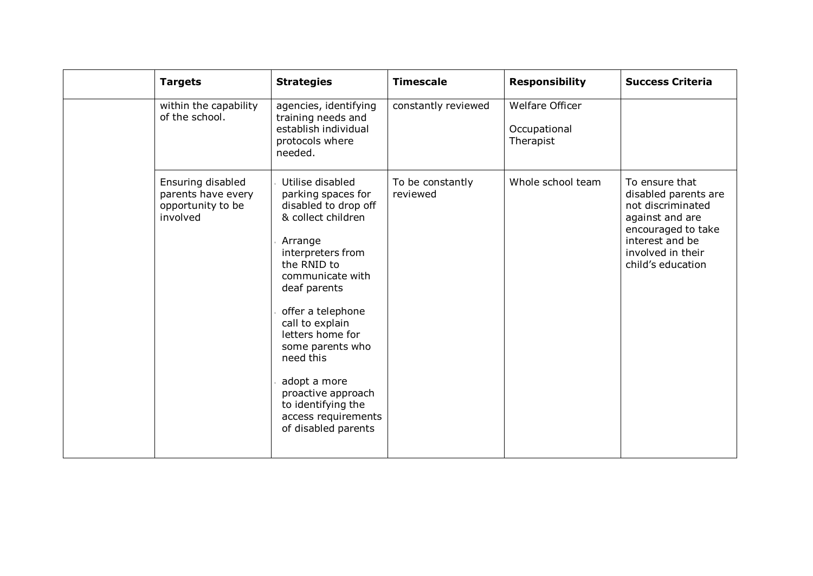| <b>Targets</b>                                                           | <b>Strategies</b>                                                                                                                                                                                                                                                                                                                                                              | <b>Timescale</b>             | <b>Responsibility</b>                               | <b>Success Criteria</b>                                                                                                                                           |
|--------------------------------------------------------------------------|--------------------------------------------------------------------------------------------------------------------------------------------------------------------------------------------------------------------------------------------------------------------------------------------------------------------------------------------------------------------------------|------------------------------|-----------------------------------------------------|-------------------------------------------------------------------------------------------------------------------------------------------------------------------|
| within the capability<br>of the school.                                  | agencies, identifying<br>training needs and<br>establish individual<br>protocols where<br>needed.                                                                                                                                                                                                                                                                              | constantly reviewed          | <b>Welfare Officer</b><br>Occupational<br>Therapist |                                                                                                                                                                   |
| Ensuring disabled<br>parents have every<br>opportunity to be<br>involved | Utilise disabled<br>parking spaces for<br>disabled to drop off<br>& collect children<br>Arrange<br>interpreters from<br>the RNID to<br>communicate with<br>deaf parents<br>offer a telephone<br>call to explain<br>letters home for<br>some parents who<br>need this<br>adopt a more<br>proactive approach<br>to identifying the<br>access requirements<br>of disabled parents | To be constantly<br>reviewed | Whole school team                                   | To ensure that<br>disabled parents are<br>not discriminated<br>against and are<br>encouraged to take<br>interest and be<br>involved in their<br>child's education |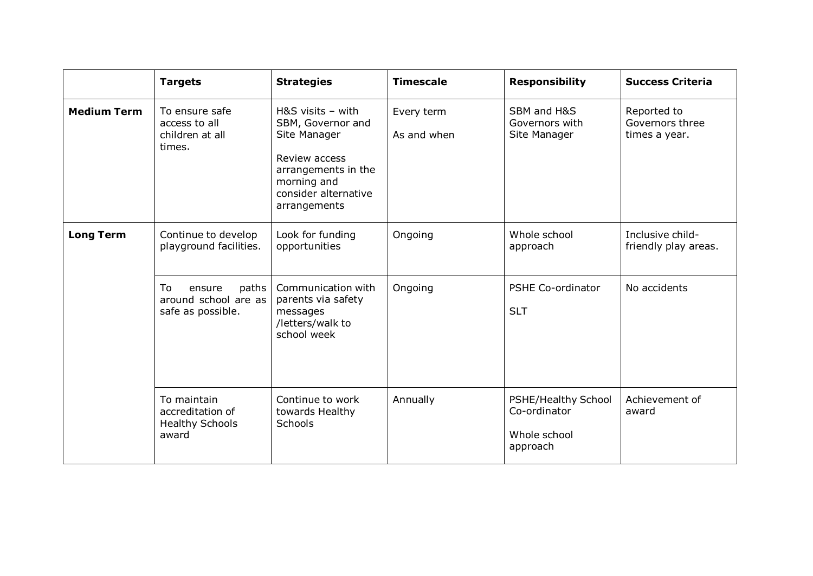|                    | <b>Targets</b>                                                     | <b>Strategies</b>                                                                                                                                       | <b>Timescale</b>          | <b>Responsibility</b>                                           | <b>Success Criteria</b>                         |
|--------------------|--------------------------------------------------------------------|---------------------------------------------------------------------------------------------------------------------------------------------------------|---------------------------|-----------------------------------------------------------------|-------------------------------------------------|
| <b>Medium Term</b> | To ensure safe<br>access to all<br>children at all<br>times.       | $H&S$ visits - with<br>SBM, Governor and<br>Site Manager<br>Review access<br>arrangements in the<br>morning and<br>consider alternative<br>arrangements | Every term<br>As and when | SBM and H&S<br>Governors with<br>Site Manager                   | Reported to<br>Governors three<br>times a year. |
| <b>Long Term</b>   | Continue to develop<br>playground facilities.                      | Look for funding<br>opportunities                                                                                                                       | Ongoing                   | Whole school<br>approach                                        | Inclusive child-<br>friendly play areas.        |
|                    | To<br>paths<br>ensure<br>around school are as<br>safe as possible. | Communication with<br>parents via safety<br>messages<br>/letters/walk to<br>school week                                                                 | Ongoing                   | <b>PSHE Co-ordinator</b><br><b>SLT</b>                          | No accidents                                    |
|                    | To maintain<br>accreditation of<br><b>Healthy Schools</b><br>award | Continue to work<br>towards Healthy<br>Schools                                                                                                          | Annually                  | PSHE/Healthy School<br>Co-ordinator<br>Whole school<br>approach | Achievement of<br>award                         |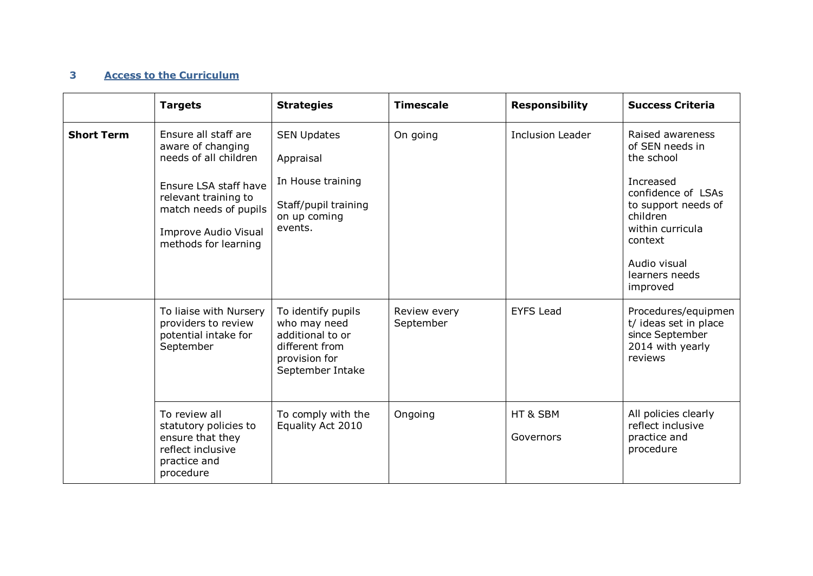#### **3 Access to the Curriculum**

|                   | <b>Targets</b>                                                                                                                                                                                      | <b>Strategies</b>                                                                                             | <b>Timescale</b>          | <b>Responsibility</b>   | <b>Success Criteria</b>                                                                                                                                                                              |
|-------------------|-----------------------------------------------------------------------------------------------------------------------------------------------------------------------------------------------------|---------------------------------------------------------------------------------------------------------------|---------------------------|-------------------------|------------------------------------------------------------------------------------------------------------------------------------------------------------------------------------------------------|
| <b>Short Term</b> | Ensure all staff are<br>aware of changing<br>needs of all children<br>Ensure LSA staff have<br>relevant training to<br>match needs of pupils<br><b>Improve Audio Visual</b><br>methods for learning | <b>SEN Updates</b><br>Appraisal<br>In House training<br>Staff/pupil training<br>on up coming<br>events.       | On going                  | <b>Inclusion Leader</b> | Raised awareness<br>of SEN needs in<br>the school<br>Increased<br>confidence of LSAs<br>to support needs of<br>children<br>within curricula<br>context<br>Audio visual<br>learners needs<br>improved |
|                   | To liaise with Nursery<br>providers to review<br>potential intake for<br>September                                                                                                                  | To identify pupils<br>who may need<br>additional to or<br>different from<br>provision for<br>September Intake | Review every<br>September | <b>EYFS Lead</b>        | Procedures/equipmen<br>t/ ideas set in place<br>since September<br>2014 with yearly<br>reviews                                                                                                       |
|                   | To review all<br>statutory policies to<br>ensure that they<br>reflect inclusive<br>practice and<br>procedure                                                                                        | To comply with the<br>Equality Act 2010                                                                       | Ongoing                   | HT & SBM<br>Governors   | All policies clearly<br>reflect inclusive<br>practice and<br>procedure                                                                                                                               |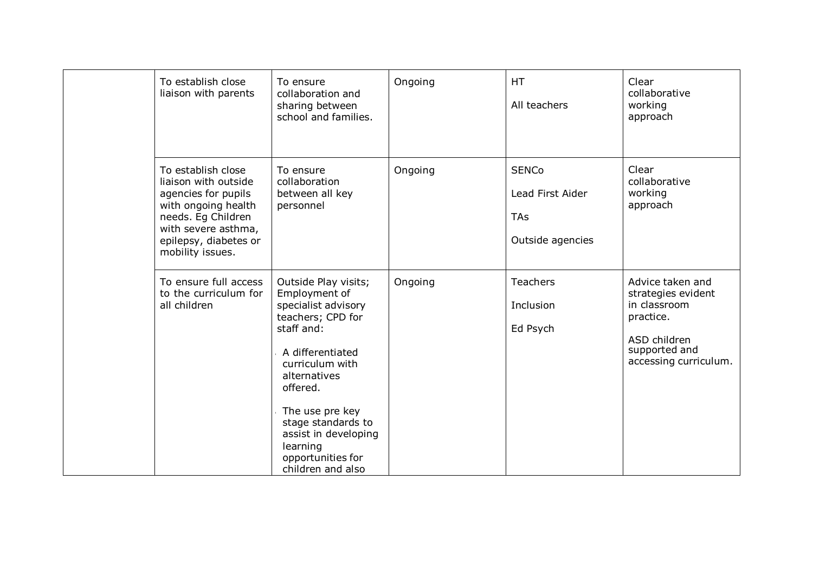| To establish close<br>liaison with parents                                                                                                                                         | To ensure<br>collaboration and<br>sharing between<br>school and families.                                                                                                                                                                                                                 | Ongoing | <b>HT</b><br>All teachers                                   | Clear<br>collaborative<br>working<br>approach                                                                                 |
|------------------------------------------------------------------------------------------------------------------------------------------------------------------------------------|-------------------------------------------------------------------------------------------------------------------------------------------------------------------------------------------------------------------------------------------------------------------------------------------|---------|-------------------------------------------------------------|-------------------------------------------------------------------------------------------------------------------------------|
| To establish close<br>liaison with outside<br>agencies for pupils<br>with ongoing health<br>needs. Eg Children<br>with severe asthma,<br>epilepsy, diabetes or<br>mobility issues. | To ensure<br>collaboration<br>between all key<br>personnel                                                                                                                                                                                                                                | Ongoing | <b>SENCo</b><br>Lead First Aider<br>TAs<br>Outside agencies | Clear<br>collaborative<br>working<br>approach                                                                                 |
| To ensure full access<br>to the curriculum for<br>all children                                                                                                                     | Outside Play visits;<br>Employment of<br>specialist advisory<br>teachers; CPD for<br>staff and:<br>A differentiated<br>curriculum with<br>alternatives<br>offered.<br>The use pre key<br>stage standards to<br>assist in developing<br>learning<br>opportunities for<br>children and also | Ongoing | Teachers<br>Inclusion<br>Ed Psych                           | Advice taken and<br>strategies evident<br>in classroom<br>practice.<br>ASD children<br>supported and<br>accessing curriculum. |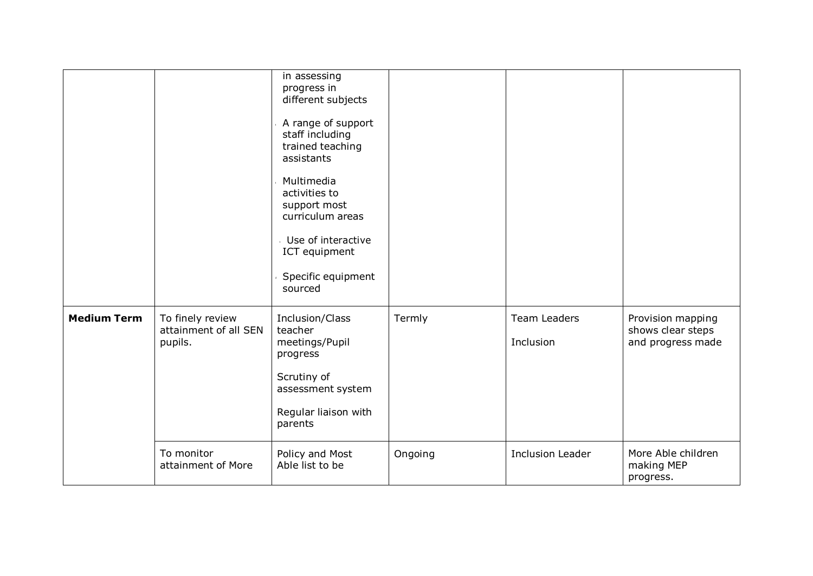|                    |                                                      | in assessing<br>progress in<br>different subjects<br>A range of support<br>staff including<br>trained teaching<br>assistants<br>Multimedia<br>activities to<br>support most<br>curriculum areas<br>Use of interactive<br>ICT equipment<br>Specific equipment<br>sourced |         |                           |                                                             |
|--------------------|------------------------------------------------------|-------------------------------------------------------------------------------------------------------------------------------------------------------------------------------------------------------------------------------------------------------------------------|---------|---------------------------|-------------------------------------------------------------|
| <b>Medium Term</b> | To finely review<br>attainment of all SEN<br>pupils. | Inclusion/Class<br>teacher<br>meetings/Pupil<br>progress<br>Scrutiny of<br>assessment system<br>Regular liaison with<br>parents                                                                                                                                         | Termly  | Team Leaders<br>Inclusion | Provision mapping<br>shows clear steps<br>and progress made |
|                    | To monitor<br>attainment of More                     | Policy and Most<br>Able list to be                                                                                                                                                                                                                                      | Ongoing | <b>Inclusion Leader</b>   | More Able children<br>making MEP<br>progress.               |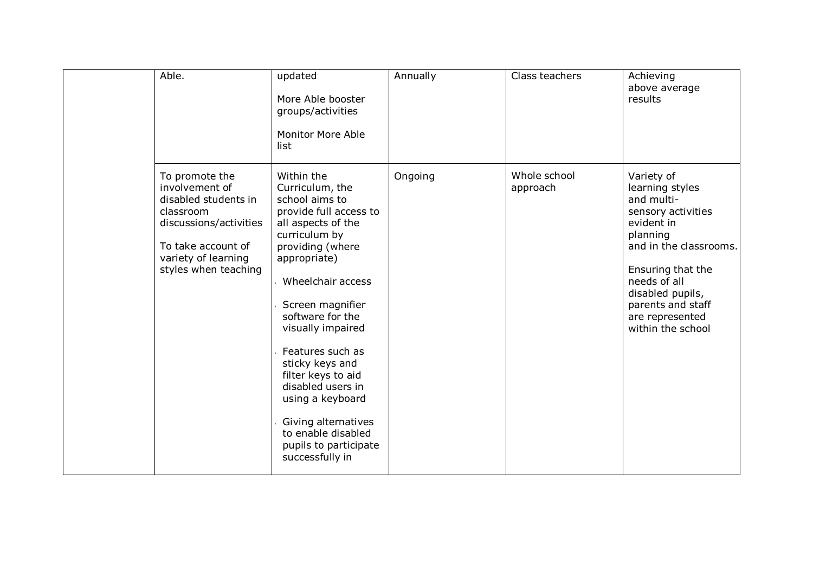| Able.                                                                                                                                                                | updated<br>More Able booster<br>groups/activities<br><b>Monitor More Able</b><br>list                                                                                                                                                                                                                                                                                                                                                 | Annually | Class teachers           | Achieving<br>above average<br>results                                                                                                                                                                                                       |
|----------------------------------------------------------------------------------------------------------------------------------------------------------------------|---------------------------------------------------------------------------------------------------------------------------------------------------------------------------------------------------------------------------------------------------------------------------------------------------------------------------------------------------------------------------------------------------------------------------------------|----------|--------------------------|---------------------------------------------------------------------------------------------------------------------------------------------------------------------------------------------------------------------------------------------|
| To promote the<br>involvement of<br>disabled students in<br>classroom<br>discussions/activities<br>To take account of<br>variety of learning<br>styles when teaching | Within the<br>Curriculum, the<br>school aims to<br>provide full access to<br>all aspects of the<br>curriculum by<br>providing (where<br>appropriate)<br>Wheelchair access<br>Screen magnifier<br>software for the<br>visually impaired<br>Features such as<br>sticky keys and<br>filter keys to aid<br>disabled users in<br>using a keyboard<br>Giving alternatives<br>to enable disabled<br>pupils to participate<br>successfully in | Ongoing  | Whole school<br>approach | Variety of<br>learning styles<br>and multi-<br>sensory activities<br>evident in<br>planning<br>and in the classrooms.<br>Ensuring that the<br>needs of all<br>disabled pupils,<br>parents and staff<br>are represented<br>within the school |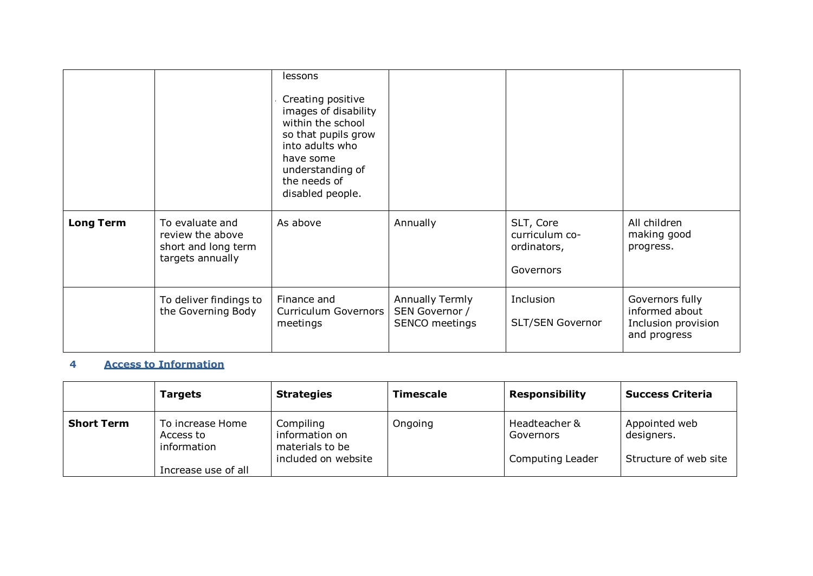|                  |                                                                                | Creating positive<br>images of disability<br>within the school<br>so that pupils grow<br>into adults who<br>have some<br>understanding of<br>the needs of<br>disabled people. |                                                            |                                                         |                                                                          |
|------------------|--------------------------------------------------------------------------------|-------------------------------------------------------------------------------------------------------------------------------------------------------------------------------|------------------------------------------------------------|---------------------------------------------------------|--------------------------------------------------------------------------|
| <b>Long Term</b> | To evaluate and<br>review the above<br>short and long term<br>targets annually | As above                                                                                                                                                                      | Annually                                                   | SLT, Core<br>curriculum co-<br>ordinators,<br>Governors | All children<br>making good<br>progress.                                 |
|                  | To deliver findings to<br>the Governing Body                                   | Finance and<br>Curriculum Governors<br>meetings                                                                                                                               | <b>Annually Termly</b><br>SEN Governor /<br>SENCO meetings | Inclusion<br>SLT/SEN Governor                           | Governors fully<br>informed about<br>Inclusion provision<br>and progress |

### **4 Access to Information**

|                   | <b>Targets</b>                               | <b>Strategies</b>                                                     | <b>Timescale</b> | <b>Responsibility</b>                          | <b>Success Criteria</b>                              |
|-------------------|----------------------------------------------|-----------------------------------------------------------------------|------------------|------------------------------------------------|------------------------------------------------------|
| <b>Short Term</b> | To increase Home<br>Access to<br>information | Compiling<br>information on<br>materials to be<br>included on website | Ongoing          | Headteacher &<br>Governors<br>Computing Leader | Appointed web<br>designers.<br>Structure of web site |
|                   | Increase use of all                          |                                                                       |                  |                                                |                                                      |